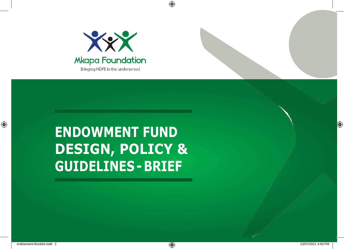

⊕

# **ENDOWMENT FUND DESIGN, POLICY & GUIDELINES - BRIEF**

◈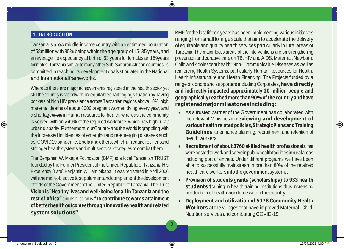### **1. INTRODUCTION**

Tanzania is a low middle-income country with an estimated population of 58 million with 35% being within the age group of 15-35 years, and an average life expectancy at birth of 63 years for females and 59years for males.Tanzania similar to many other Sub-Saharan African countries, is committed in reaching its development goals stipulated in the National and Internationalframeworks.

Whereas there are major achievements registered in the health sector yet still the country is faced with un-equitable challenging situation by having pockets of high HIV prevalence across Tanzanian regions above 10%; high maternal deaths of about 8000 pregnant women dying every year, and a shortagecrisis in Human resource for health, whereas the community is served with only 49% of the required workforce, which has high rural/ urbandisparity.Furthermore,ourCountryandtheWorldisgrapplingwith the increased incidences of emerging and re-emerging diseases such as, COVID19 pandemic, Ebola and others, which all require resilient and stronger health systems and multisectoral strategies to combat them.

The Benjamin W. Mkapa Foundation (BMF) is a local Tanzanian TRUST founded by the Former President of the United Republic of Tanzania His Excellency (Late) Benjamin William Mkapa. It was registered in April 2006 with the main objective to supplement and complement the development efforts of the Government of the United Republic ofTanzania.The Trust **Vision is "Healthy livesand well-beingfor all in Tanzania and the rest of Africa"** and its mission is **"To contribute towards attainment ofbetter health outcomesthroughinnovativehealth andrelated systemsolutions"**

BMF for the last fifteen years has been implementing various initiatives ranging from small to large scale that aim to accelerate the delivery of equitable and quality health services particularly in rural areas of Tanzania. The major focus areas of the interventions are on strengthening prevention and curative care on TB, HIV and AIDS; Maternal, Newborn, Child and Adolescent health; Non- Communicable Diseases as well as reinforcing Health Systems, particularly Human Resources for Health, Health Infrastructure and Health Financing. The Projects funded by a range of donors and supporters including Corporates, **have directly and indirectly impacted approximately 20 million people and geographicallyreachedmore than 90%of thecountryand have registeredmajormilestonesincluding:**

- As a trusted partner of the Government has collaborated with the relevant Ministries in **reviewing and development of various health relatedpolicies,StrategicPlansandTraining Guidelines** to enhance planning, recruitment and retention of health workers.
- **Recruitment of about 3760 skilled health professionals** that werepostedtoworkandserveinpublichealthfacilitiesinruralareas including port of entries. Under diffrent programs we have been able to successfully mainstream more than 80% of the retained health care workers into the government system. .
- **Provision of students grants (scholarships) to 933 health students t**raining in health training institutions thus increasing production of health workforce within the country.
- **Deployment and utilization of 5378 Community Health Workers** at the villages that have improved Maternal, Child, Nutrition services and combatting COVID-19

**2**

♠

⊕

⊕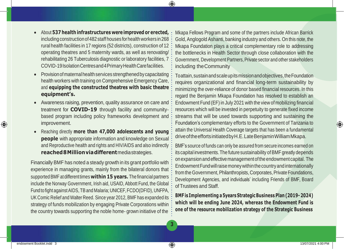- About **537 health infrastructures were improved or erected,**  including construction of 482 staff houses for health workers in 268 rural health facilities in 17 regions (52 districts), construction of 12 operating theatres and 5 maternity wards, as well as renovating/ rehabilitating 26 Tuberculosis diagnostic or laboratory facilities, 7 COVID-19IsolationCentresand4PrimaryHealthCarefacilities.
- Provisionofmaternalhealthservices strengthenedby capacitating health workers with training on Comprehensive Emergency Care, and **equipping the constructed theatres with basic theatre equipment's.**
- Awareness raising, prevention, quality assurance on care and treatment for **COVID-19** through facility and communitybased program including policy frameworks development and improvement.
- Reaching directly **more than 47,000 adolescents and young people** with appropriate information and knowledge on Sexual and Reproductive health and rights and HIV/AIDS and also indirectly **reached8Millionviadifferent**mediastrategies.

Financially BMF has noted a steady growth in its grant portfolio with experience in managing grants, mainly from the bilateral donors that supportedBMF at differenttimes**within 15 years.** The financial partners include the Norway Government, Irish aid, USAID, Abbott Fund, the Global Fund to fight against AIDS, TB and Malaria; UNICEF, FCDO(DFID), UNFPA, UK Comic Relief and Walter Reed. Since year 2012, BMF has expanded its strategy of funds mobilization by engaging Private Corporations within the country towards supporting the noble home- grown initiative of the

Mkapa Fellows Program and some of the partners include African Barrick Gold, Anglogold Ashanti, banking industry and others. On this note, the Mkapa Foundation plays a critical complementary role to addressing the bottlenecks in Health Sector through close collaboration with the Government, Development Partners, Private sector and other stakeholders including theCommunity

Toattain,sustainandscaleupitsmissionandobjectives,theFoundation requires organizational and financial long-term sustainability by minimizing the over-reliance of donor based financial resources. In this regard the Benjamin Mkapa Foundation has resolved to establish an Endowment Fund (EF) in July 2021 with the view of mobilizing financial resources which will be invested in perpetuity to generate fixed income streams that will be used towards supporting and sustaining the Foundation's complementary efforts to the Government of Tanzania to attain the Universal Health Coverage targets that has been a fundamental driveoftheeffortsinitiatedbyH.E.LateBenjaminWilliamMkapa.

BMF's source of funds can only be assured from secure incomes earned on its capital investments. The future sustainability of BMF greatly depends on expansion and effective management of the endowment capital. The Endowment Fund will raise money within the country and internationally from the Government, Philanthropists, Corporates, Private Foundations, Development Agencies, and individuals' including Friends of BMF, Board of Trustees and Staff.

**BMF is Implementing a 5years StrategicBusiness Plan (2019- 2024) which will be ending June 2024, whereas the Endowment Fund is one of the resource mobilization strategy of the Strategic Business**

**3**

♠

⊕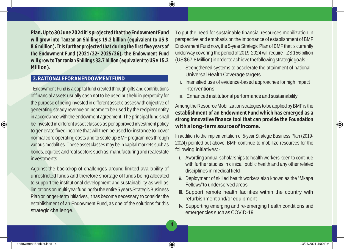**Plan.Upto30June2024itisprojectedthat theEndowmentFund will grow into Tanzanian Shillings 19.2 billion (equivalent to US \$ 8.6 million). It is further projected that during the first five years of the Endowment Fund (2021/22- 2025/26), the Endowment Fund will grow to Tanzanian Shillings 33.7 billion (equivalent to US \$ 15.2 Million).**

## **2.RATIONALEFORANENDOWMENTFUND**

- Endowment Fund is a capital fund created through gifts and contributions of financial assets usually cash not to be used but held in perpetuity for the purpose of being invested in different asset classes with objective of generating steady revenue or income to be used by the recipient entity in accordance with the endowment agreement.The principal fund shall be invested in different asset classes as per approved investment policy to generate fixed income that will then be used forinstance to cover normal core operating costs and to scale up BMF programmes through various modalities. These asset classes may be in capital markets such as bonds,equities and real sectors such as, manufacturing and real estate investments.

Against the backdrop of challenges around limited availability of unrestricted funds and therefore shortage of funds being allocated to support the institutional development and sustainability as well as limitations on multi-year funding for the entire 5 years Strategic Business Plan or longer-term initiatives, it has become necessary to consider the establishment of an Endowment Fund, as one of the solutions for this strategic challenge.

To put the need for sustainable financial resources mobilization in perspective and emphasis on the importance of establishment of BMF Endowment Fund now, the 5-year Strategic Plan of BMF that is currently underway covering the period of 2019-2024 will require TZS 156 billion (US\$67.8Million)inordertoachievethefollowingstrategicgoals:-

- i. Strengthened systems to accelerate the attainment of national Universal Health Coverage targets
- ii. Intensified use of evidence-based approaches for high impact interventions
- iii. Enhanced institutional performance and sustainability.

Among the Resource Mobilization strategies to be applied by BMF is the **establishment of an Endowment Fund which has emerged as a strong innovative finance tool that can provide the Foundation with a long-term sourceof income.**

In addition to the implementation of 5-year Strategic Business Plan (2019- 2024) pointed out above, BMF continue to mobilize resources for the following initiatives:-

- i. Awarding annual scholarships to health workers keen to continue with further studies in clinical, public health and any other related disciplines in medical field
- ii. Deployment of skilled health workers also known as the "Mkapa Fellows"to underserved areas
- iii. Support remote health facilities within the country with refurbishment and/or equipment
- iv. Supporting emerging and re-emerging health conditions and emergencies such as COVID-19

**4**

♠

⊕

⊕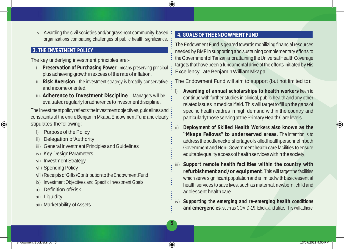v. Awarding the civil societies and/or grass-root community-based organizations combatting challenges of public health significance.

# **3. THE INVESTMENT POLICY**

The key underlying investment principles are:-

- **i. Preservation of Purchasing Power** means preserving principal plus achieving growthinexcessof therate of inflation.
- **ii. Risk Aversion**  the investment strategy is broadly conservative and income oriented.
- **iii. Adherence to Investment Discipline**  Managers will be evaluatedregularlyforadherencetoinvestmentdiscipline.

The Investment policy reflects the investment objectives, quidelines and constraints of the entire Benjamin Mkapa Endowment Fund and clearly stipulates thefollowing:

- i) Purpose of the Policy
- ii) Delegation ofAuthority
- iii) General Investment Principles and Guidelines
- iv) Key Design Parameters
- vi) Investment Strategy
- vii) Spending Policy
- viii) ReceiptsofGifts/ContributiontotheEndowmentFund
- ix) Investment Objectives and Specific Investment Goals
- x) Definition ofRisk
- xi) Liquidity
- xii) Marketability ofAssets

# **4. GOALS OFTHE ENDOWMENTFUND**

The Endowment Fund is geared towards mobilizing financial resources needed by BMF in supporting and sustaining complementary efforts to theGovernmentofTanzaniaforattainingtheUniversalHealthCoverage targets that have been a fundamental drive of the efforts initiated by His Excellency Late Benjamin William Mkapa.

The Endowment Fund will aim to support (but not limited to):

- **Awarding of annual scholarships to health workers** keen to continue with further studies in clinical, public health and any other related issues in medical field. This will target to fill up the gaps of specific health cadres in high demand within the country and particularly those serving at the Primary Health Carelevels.
- ii) **Deployment of Skilled Health Workers also known as the "Mkapa Fellows" to underserved areas.** The intention is to addressthebottleneckofshortageofskilledhealthpersonnelinboth Government and Non- Government health care facilities to ensure equitablequalityaccessofhealthserviceswithinthesociety,
- iii) **Support remote health facilities within the country with refurbishment and/or equipment**. This will target the facilities which serve significant population and is limited with basic essential health services to save lives, such as maternal, newborn, child and adolescent healthcare.
- iv) **Supporting the emerging and re-emerging health conditions and emergencies**, such as COVID-19, Ebola and alike.This will adhere

♠

⊕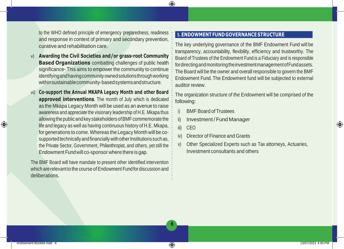to the WHO defined principle of emergency preparedness, readiness and response in context of primary and secondary prevention, curative and rehabilitation care.

- v) **Awarding the Civil Societies and/or grass-root Community Based Organizations** combatting challenges of public health significance- This aims to empower the community to continue identifying and having community owned solutions through working withinsustainablecommunity-basedsystemsandstructure.
- vi) **Co-support the Annual MKAPA Legacy Month and other Board approved interventions**. The month of July which is dedicated as the Mkapa Legacy Month will be used as an avenue to raise awareness and appreciate the visionary leadership of H.E. Mkapa thus allowing the public and key stakeholders of BMF commemorate the life and legacy as well as having continuous history of H.E. Mkapa, for generations to come. Whereas the Legacy Month will be cosupported technically and financially with other Institutions such as, the Private Sector, Government, Philanthropist, and others, yet still the Endowment Fundwill co-sponsor where there is gap.

The BMF Board will have mandate to present other identified intervention which are relevant to the course of Endowment Fund for discussion and deliberations.

#### **5. ENDOWMENTFUND GOVERNANCE STRUCTURE**

The key underlying governance of the BMF Endowment Fund will be transparency, accountability, flexibility, efficiency and trustworthy. The Board of Trustees of the Endowment Fund is a Fiduciary and is responsible for directing and monitoring the investment management of Fundassets. The Board will be the owner and overall responsible to govern the BMF Endowment Fund. The Endowment fund will be subjected to external auditor review.

The organization structure of the Endowment will be comprised of the following:

- i) BMF Board of Trustees
- ii) Investment / Fund Manager
- iii) CEO

♠

**6**

- iv) Director of Finance and Grants
- v) Other Specialized Experts such as Tax attorneys, Actuaries, Investment consultants and others

⊕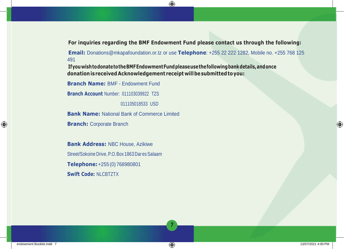**For inquiries regarding the BMF Endowment Fund please contact us through the following:**

**Email:** [Donations@mkapafoundation.or.tz o](mailto:Donations@mkapafoundation.or.tz)r use **Telephone**: +255 22 222 1282, Mobile no. +255 768 125 491

**IfyouwishtodonatetotheBMFEndowmentFundpleaseusethefollowingbankdetails,andonce donation isreceived Acknowledgement receipt willbesubmittedtoyou:**

⊕

**7**

**Branch Name:** BMF - Endowment Fund

**Branch Account** Number: 011103039922 TZS

011105018533 USD

**Bank Name:** National Bank of Commerce Limited

**Branch: Corporate Branch** 

**Bank Address:** NBC House, Azikiwe Street/Sokoine Drive, P.O. Box 1863 Dar es Salaam **Telephone:**+255 (0) 768980801 **Swift Code:** NLCBTZTX

⊕